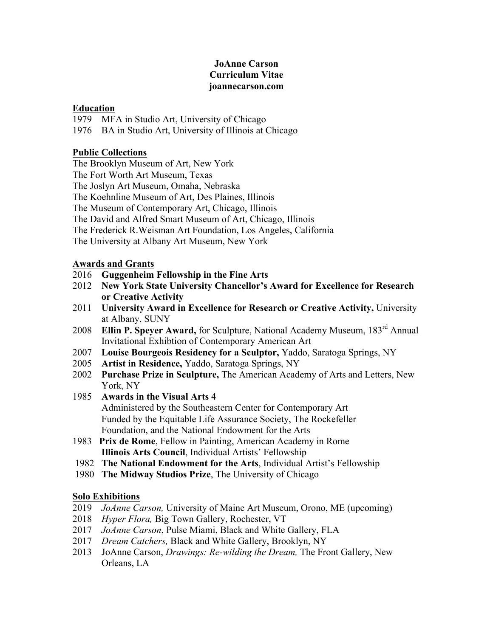## **JoAnne Carson Curriculum Vitae joannecarson.com**

### **Education**

1979 MFA in Studio Art, University of Chicago

1976 BA in Studio Art, University of Illinois at Chicago

## **Public Collections**

The Brooklyn Museum of Art, New York

The Fort Worth Art Museum, Texas

The Joslyn Art Museum, Omaha, Nebraska

The Koehnline Museum of Art, Des Plaines, Illinois

The Museum of Contemporary Art, Chicago, Illinois

The David and Alfred Smart Museum of Art, Chicago, Illinois

The Frederick R.Weisman Art Foundation, Los Angeles, California

The University at Albany Art Museum, New York

## **Awards and Grants**

- 2016 **Guggenheim Fellowship in the Fine Arts**
- 2012 **New York State University Chancellor's Award for Excellence for Research or Creative Activity**
- 2011 **University Award in Excellence for Research or Creative Activity,** University at Albany, SUNY
- 2008 **Ellin P. Speyer Award,** for Sculpture, National Academy Museum, 183rd Annual Invitational Exhibtion of Contemporary American Art
- 2007 **Louise Bourgeois Residency for a Sculptor,** Yaddo, Saratoga Springs, NY
- 2005 **Artist in Residence,** Yaddo, Saratoga Springs, NY
- 2002 **Purchase Prize in Sculpture,** The American Academy of Arts and Letters, New York, NY
- 1985 **Awards in the Visual Arts 4** Administered by the Southeastern Center for Contemporary Art Funded by the Equitable Life Assurance Society, The Rockefeller Foundation, and the National Endowment for the Arts
- 1983 **Prix de Rome**, Fellow in Painting, American Academy in Rome **Illinois Arts Council**, Individual Artists' Fellowship
- 1982 **The National Endowment for the Arts**, Individual Artist's Fellowship
- 1980 **The Midway Studios Prize**, The University of Chicago

## **Solo Exhibitions**

- 2019 *JoAnne Carson,* University of Maine Art Museum, Orono, ME (upcoming)
- 2018 *Hyper Flora,* Big Town Gallery, Rochester, VT
- 2017 *JoAnne Carson*, Pulse Miami, Black and White Gallery, FLA
- 2017 *Dream Catchers,* Black and White Gallery, Brooklyn, NY
- 2013 JoAnne Carson, *Drawings: Re-wilding the Dream,* The Front Gallery, New Orleans, LA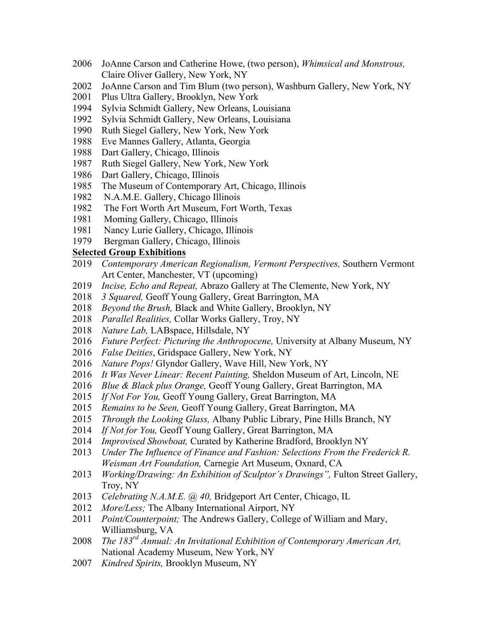- 2006 JoAnne Carson and Catherine Howe, (two person), *Whimsical and Monstrous,*  Claire Oliver Gallery, New York, NY
- 2002 JoAnne Carson and Tim Blum (two person), Washburn Gallery, New York, NY
- 2001 Plus Ultra Gallery, Brooklyn, New York
- 1994 Sylvia Schmidt Gallery, New Orleans, Louisiana
- 1992 Sylvia Schmidt Gallery, New Orleans, Louisiana
- 1990 Ruth Siegel Gallery, New York, New York
- 1988 Eve Mannes Gallery, Atlanta, Georgia
- 1988 Dart Gallery, Chicago, Illinois
- 1987 Ruth Siegel Gallery, New York, New York
- 1986 Dart Gallery, Chicago, Illinois
- 1985 The Museum of Contemporary Art, Chicago, Illinois
- 1982 N.A.M.E. Gallery, Chicago Illinois
- 1982 The Fort Worth Art Museum, Fort Worth, Texas
- 1981 Moming Gallery, Chicago, Illinois
- 1981 Nancy Lurie Gallery, Chicago, Illinois
- 1979 Bergman Gallery, Chicago, Illinois

#### **Selected Group Exhibitions**

- 2019 *Contemporary American Regionalism, Vermont Perspectives,* Southern Vermont Art Center, Manchester, VT (upcoming)
- 2019 *Incise, Echo and Repeat,* Abrazo Gallery at The Clemente, New York, NY
- 2018 *3 Squared,* Geoff Young Gallery, Great Barrington, MA
- 2018 *Beyond the Brush,* Black and White Gallery, Brooklyn, NY
- 2018 *Parallel Realities,* Collar Works Gallery, Troy, NY
- 2018 *Nature Lab,* LABspace, Hillsdale, NY
- 2016 *Future Perfect: Picturing the Anthropocene,* University at Albany Museum, NY
- 2016 *False Deities*, Gridspace Gallery, New York, NY
- 2016 *Nature Pops!* Glyndor Gallery, Wave Hill, New York, NY
- 2016 *It Was Never Linear: Recent Painting,* Sheldon Museum of Art, Lincoln, NE
- 2016 *Blue & Black plus Orange,* Geoff Young Gallery, Great Barrington, MA
- 2015 *If Not For You,* Geoff Young Gallery, Great Barrington, MA
- 2015 *Remains to be Seen,* Geoff Young Gallery, Great Barrington, MA
- 2015 *Through the Looking Glass,* Albany Public Library, Pine Hills Branch, NY
- 2014 *If Not for You,* Geoff Young Gallery, Great Barrington, MA
- 2014 *Improvised Showboat,* Curated by Katherine Bradford, Brooklyn NY
- 2013 *Under The Influence of Finance and Fashion: Selections From the Frederick R. Weisman Art Foundation,* Carnegie Art Museum, Oxnard, CA
- 2013 *Working/Drawing: An Exhibition of Sculptor's Drawings"*, Fulton Street Gallery, Troy, NY
- 2013 *Celebrating N.A.M.E. @ 40,* Bridgeport Art Center, Chicago, IL
- 2012 *More/Less;* The Albany International Airport, NY
- 2011 *Point/Counterpoint;* The Andrews Gallery, College of William and Mary, Williamsburg, VA
- 2008 *The 183rd Annual: An Invitational Exhibition of Contemporary American Art,* National Academy Museum, New York, NY
- 2007 *Kindred Spirits,* Brooklyn Museum, NY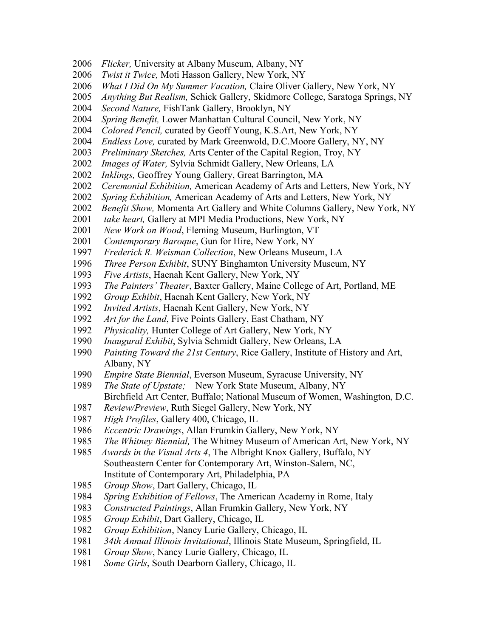- *Flicker,* University at Albany Museum, Albany, NY
- *Twist it Twice,* Moti Hasson Gallery, New York, NY
- *What I Did On My Summer Vacation,* Claire Oliver Gallery, New York, NY
- *Anything But Realism,* Schick Gallery, Skidmore College, Saratoga Springs, NY
- *Second Nature,* FishTank Gallery, Brooklyn, NY
- *Spring Benefit,* Lower Manhattan Cultural Council, New York, NY
- *Colored Pencil,* curated by Geoff Young, K.S.Art, New York, NY
- *Endless Love,* curated by Mark Greenwold, D.C.Moore Gallery, NY, NY
- *Preliminary Sketches,* Arts Center of the Capital Region, Troy, NY
- *Images of Water,* Sylvia Schmidt Gallery, New Orleans, LA
- *Inklings,* Geoffrey Young Gallery, Great Barrington, MA
- *Ceremonial Exhibition,* American Academy of Arts and Letters, New York, NY
- *Spring Exhibition,* American Academy of Arts and Letters, New York, NY
- *Benefit Show,* Momenta Art Gallery and White Columns Gallery, New York, NY
- *take heart,* Gallery at MPI Media Productions, New York, NY
- *New Work on Wood*, Fleming Museum, Burlington, VT
- *Contemporary Baroque*, Gun for Hire, New York, NY
- *Frederick R. Weisman Collection*, New Orleans Museum, LA
- *Three Person Exhibit*, SUNY Binghamton University Museum, NY
- *Five Artists*, Haenah Kent Gallery, New York, NY
- *The Painters' Theater*, Baxter Gallery, Maine College of Art, Portland, ME
- *Group Exhibit*, Haenah Kent Gallery, New York, NY
- *Invited Artists*, Haenah Kent Gallery, New York, NY
- *Art for the Land*, Five Points Gallery, East Chatham, NY
- *Physicality,* Hunter College of Art Gallery, New York, NY
- *Inaugural Exhibit*, Sylvia Schmidt Gallery, New Orleans, LA
- *Painting Toward the 21st Century*, Rice Gallery, Institute of History and Art, Albany, NY
- *Empire State Biennial*, Everson Museum, Syracuse University, NY
- *The State of Upstate;* New York State Museum, Albany, NY Birchfield Art Center, Buffalo; National Museum of Women, Washington, D.C.
- *Review/Preview*, Ruth Siegel Gallery, New York, NY
- *High Profiles*, Gallery 400, Chicago, IL
- *Eccentric Drawings*, Allan Frumkin Gallery, New York, NY
- *The Whitney Biennial,* The Whitney Museum of American Art, New York, NY
- *Awards in the Visual Arts 4*, The Albright Knox Gallery, Buffalo, NY Southeastern Center for Contemporary Art, Winston-Salem, NC, Institute of Contemporary Art, Philadelphia, PA
- *Group Show*, Dart Gallery, Chicago, IL
- *Spring Exhibition of Fellows*, The American Academy in Rome, Italy
- *Constructed Paintings*, Allan Frumkin Gallery, New York, NY
- *Group Exhibit*, Dart Gallery, Chicago, IL
- *Group Exhibition*, Nancy Lurie Gallery, Chicago, IL
- *34th Annual Illinois Invitational*, Illinois State Museum, Springfield, IL
- *Group Show*, Nancy Lurie Gallery, Chicago, IL
- *Some Girls*, South Dearborn Gallery, Chicago, IL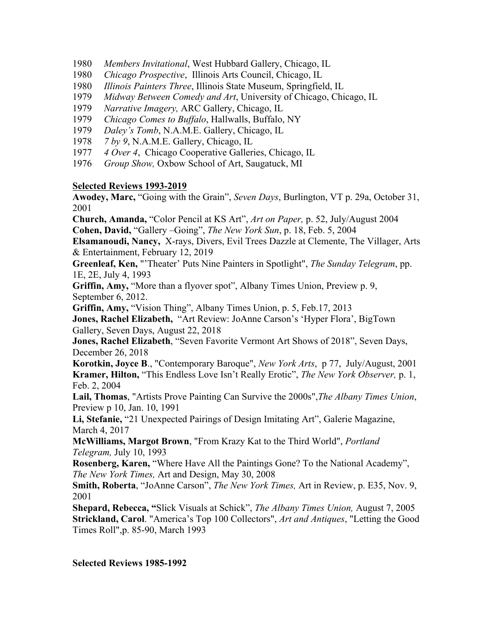- 1980 *Members Invitational*, West Hubbard Gallery, Chicago, IL
- 1980 *Chicago Prospective*, Illinois Arts Council, Chicago, IL
- 1980 *Illinois Painters Three*, Illinois State Museum, Springfield, IL
- 1979 *Midway Between Comedy and Art*, University of Chicago, Chicago, IL
- 1979 *Narrative Imagery,* ARC Gallery, Chicago, IL
- 1979 *Chicago Comes to Buffalo*, Hallwalls, Buffalo, NY
- 1979 *Daley's Tomb*, N.A.M.E. Gallery, Chicago, IL
- 1978 *7 by 9*, N.A.M.E. Gallery, Chicago, IL
- 1977 *4 Over 4*, Chicago Cooperative Galleries, Chicago, IL
- 1976 *Group Show,* Oxbow School of Art, Saugatuck, MI

#### **Selected Reviews 1993-2019**

**Awodey, Marc,** "Going with the Grain", *Seven Days*, Burlington, VT p. 29a, October 31, 2001

**Church, Amanda,** "Color Pencil at KS Art", *Art on Paper,* p. 52, July/August 2004 **Cohen, David,** "Gallery –Going", *The New York Sun*, p. 18, Feb. 5, 2004

**Elsamanoudi, Nancy,** X-rays, Divers, Evil Trees Dazzle at Clemente, The Villager, Arts & Entertainment, February 12, 2019

**Greenleaf, Ken,** "'Theater' Puts Nine Painters in Spotlight", *The Sunday Telegram*, pp. 1E, 2E, July 4, 1993

**Griffin, Amy,** "More than a flyover spot", Albany Times Union, Preview p. 9, September 6, 2012.

**Griffin, Amy,** "Vision Thing", Albany Times Union, p. 5, Feb.17, 2013

**Jones, Rachel Elizabeth,** "Art Review: JoAnne Carson's 'Hyper Flora', BigTown Gallery, Seven Days, August 22, 2018

**Jones, Rachel Elizabeth**, "Seven Favorite Vermont Art Shows of 2018", Seven Days, December 26, 2018

**Korotkin, Joyce B**., "Contemporary Baroque", *New York Arts*, p 77, July/August, 2001 **Kramer, Hilton,** "This Endless Love Isn't Really Erotic", *The New York Observer,* p. 1, Feb. 2, 2004

**Lail, Thomas**, "Artists Prove Painting Can Survive the 2000s",*The Albany Times Union*, Preview p 10, Jan. 10, 1991

**Li, Stefanie,** "21 Unexpected Pairings of Design Imitating Art", Galerie Magazine, March 4, 2017

**McWilliams, Margot Brown**, "From Krazy Kat to the Third World", *Portland Telegram,* July 10, 1993

**Rosenberg, Karen,** "Where Have All the Paintings Gone? To the National Academy", *The New York Times,* Art and Design, May 30, 2008

**Smith, Roberta**, "JoAnne Carson", *The New York Times,* Art in Review, p. E35, Nov. 9, 2001

**Shepard, Rebecca, "**Slick Visuals at Schick", *The Albany Times Union,* August 7, 2005 **Strickland, Carol**. "America's Top 100 Collectors", *Art and Antiques*, "Letting the Good Times Roll",p. 85-90, March 1993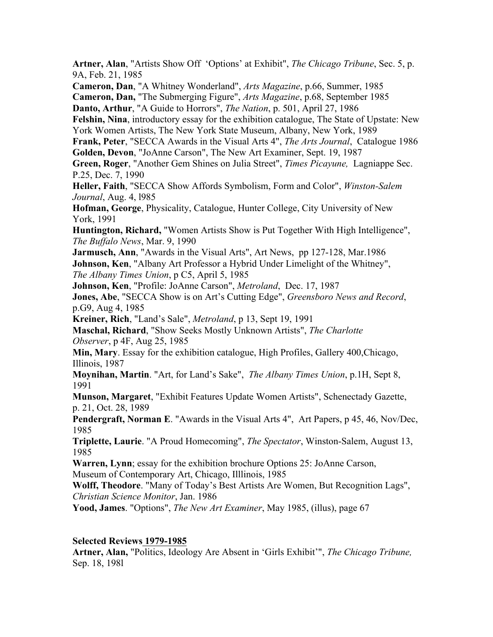**Artner, Alan**, "Artists Show Off 'Options' at Exhibit", *The Chicago Tribune*, Sec. 5, p. 9A, Feb. 21, 1985 **Cameron, Dan**, "A Whitney Wonderland", *Arts Magazine*, p.66, Summer, 1985 **Cameron, Dan,** "The Submerging Figure", *Arts Magazine*, p.68, September 1985 **Danto, Arthur**, "A Guide to Horrors", *The Nation*, p. 501, April 27, 1986 **Felshin, Nina**, introductory essay for the exhibition catalogue, The State of Upstate: New York Women Artists, The New York State Museum, Albany, New York, 1989 **Frank, Peter**, "SECCA Awards in the Visual Arts 4", *The Arts Journal*, Catalogue 1986 **Golden, Devon**, "JoAnne Carson", The New Art Examiner, Sept. 19, 1987 **Green, Roger**, "Another Gem Shines on Julia Street", *Times Picayune,* Lagniappe Sec. P.25, Dec. 7, 1990 **Heller, Faith**, "SECCA Show Affords Symbolism, Form and Color", *Winston-Salem Journal*, Aug. 4, l985 **Hofman, George**, Physicality, Catalogue, Hunter College, City University of New York, 1991 **Huntington, Richard,** "Women Artists Show is Put Together With High Intelligence", *The Buffalo News*, Mar. 9, 1990 **Jarmusch, Ann**, "Awards in the Visual Arts", Art News, pp 127-128, Mar.1986 **Johnson, Ken**, "Albany Art Professor a Hybrid Under Limelight of the Whitney", *The Albany Times Union*, p C5, April 5, 1985 **Johnson, Ken**, "Profile: JoAnne Carson", *Metroland*, Dec. 17, 1987 **Jones, Abe**, "SECCA Show is on Art's Cutting Edge", *Greensboro News and Record*, p.G9, Aug 4, 1985 **Kreiner, Rich**, "Land's Sale", *Metroland*, p 13, Sept 19, 1991 **Maschal, Richard**, "Show Seeks Mostly Unknown Artists", *The Charlotte Observer*, p 4F, Aug 25, 1985 **Min, Mary**. Essay for the exhibition catalogue, High Profiles, Gallery 400,Chicago, Illinois, 1987 **Moynihan, Martin**. "Art, for Land's Sake", *The Albany Times Union*, p.1H, Sept 8, 1991 **Munson, Margaret**, "Exhibit Features Update Women Artists", Schenectady Gazette, p. 21, Oct. 28, 1989 **Pendergraft, Norman E**. "Awards in the Visual Arts 4", Art Papers, p 45, 46, Nov/Dec, 1985 **Triplette, Laurie**. "A Proud Homecoming", *The Spectator*, Winston-Salem, August 13, 1985 **Warren, Lynn**; essay for the exhibition brochure Options 25: JoAnne Carson,

Museum of Contemporary Art, Chicago, Illlinois, 1985

**Wolff, Theodore**. "Many of Today's Best Artists Are Women, But Recognition Lags", *Christian Science Monitor*, Jan. 1986

**Yood, James**. "Options", *The New Art Examiner*, May 1985, (illus), page 67

#### **Selected Reviews 1979-1985**

**Artner, Alan,** "Politics, Ideology Are Absent in 'Girls Exhibit'", *The Chicago Tribune,*  Sep. 18, 198l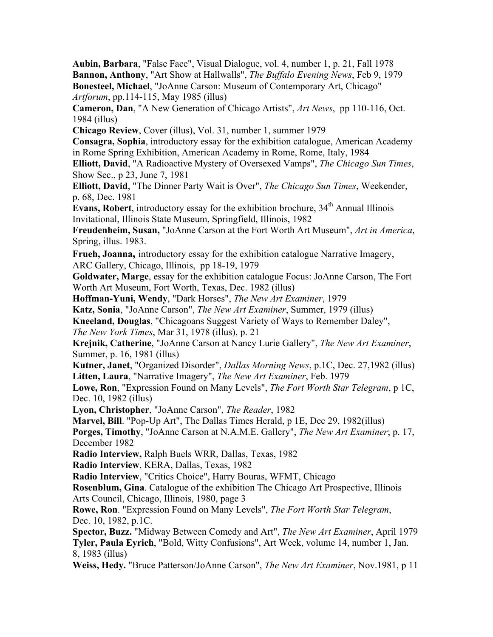**Aubin, Barbara**, "False Face", Visual Dialogue, vol. 4, number 1, p. 21, Fall 1978 **Bannon, Anthony**, "Art Show at Hallwalls", *The Buffalo Evening News*, Feb 9, 1979 **Bonesteel, Michael**, "JoAnne Carson: Museum of Contemporary Art, Chicago" *Artforum*, pp.114-115, May 1985 (illus)

**Cameron, Dan**, "A New Generation of Chicago Artists", *Art News*, pp 110-116, Oct. 1984 (illus)

**Chicago Review**, Cover (illus), Vol. 31, number 1, summer 1979

**Consagra, Sophia**, introductory essay for the exhibition catalogue, American Academy in Rome Spring Exhibition, American Academy in Rome, Rome, Italy, 1984

**Elliott, David**, "A Radioactive Mystery of Oversexed Vamps", *The Chicago Sun Times*, Show Sec., p 23, June 7, 1981

**Elliott, David**, "The Dinner Party Wait is Over", *The Chicago Sun Times*, Weekender, p. 68, Dec. 1981

**Evans, Robert**, introductory essay for the exhibition brochure, 34<sup>th</sup> Annual Illinois Invitational, Illinois State Museum, Springfield, Illinois, 1982

**Freudenheim, Susan,** "JoAnne Carson at the Fort Worth Art Museum", *Art in America*, Spring, illus. 1983.

**Frueh, Joanna,** introductory essay for the exhibition catalogue Narrative Imagery, ARC Gallery, Chicago, Illinois, pp 18-19, 1979

**Goldwater, Marge**, essay for the exhibition catalogue Focus: JoAnne Carson, The Fort Worth Art Museum, Fort Worth, Texas, Dec. 1982 (illus)

**Hoffman-Yuni, Wendy**, "Dark Horses", *The New Art Examiner*, 1979

**Katz, Sonia**, "JoAnne Carson", *The New Art Examiner*, Summer, 1979 (illus)

**Kneeland, Douglas**, "Chicagoans Suggest Variety of Ways to Remember Daley",

*The New York Times*, Mar 31, 1978 (illus), p. 21

**Krejnik, Catherine**, "JoAnne Carson at Nancy Lurie Gallery", *The New Art Examiner*, Summer, p. 16, 1981 (illus)

**Kutner, Janet**, "Organized Disorder", *Dallas Morning News*, p.1C, Dec. 27,1982 (illus) **Litten, Laura**, "Narrative Imagery", *The New Art Examiner*, Feb. 1979

**Lowe, Ron**, "Expression Found on Many Levels", *The Fort Worth Star Telegram*, p 1C, Dec. 10, 1982 (illus)

**Lyon, Christopher**, "JoAnne Carson", *The Reader*, 1982

**Marvel, Bill**. "Pop-Up Art", The Dallas Times Herald, p 1E, Dec 29, 1982(illus)

**Porges, Timothy**, "JoAnne Carson at N.A.M.E. Gallery", *The New Art Examiner*; p. 17, December 1982

**Radio Interview,** Ralph Buels WRR, Dallas, Texas, 1982

**Radio Interview**, KERA, Dallas, Texas, 1982

**Radio Interview**, "Critics Choice", Harry Bouras, WFMT, Chicago

**Rosenblum, Gina**. Catalogue of the exhibition The Chicago Art Prospective, Illinois Arts Council, Chicago, Illinois, 1980, page 3

**Rowe, Ron**. "Expression Found on Many Levels", *The Fort Worth Star Telegram*, Dec. 10, 1982, p.1C.

**Spector, Buzz.** "Midway Between Comedy and Art", *The New Art Examiner*, April 1979 **Tyler, Paula Eyrich**, "Bold, Witty Confusions", Art Week, volume 14, number 1, Jan. 8, 1983 (illus)

**Weiss, Hedy.** "Bruce Patterson/JoAnne Carson", *The New Art Examiner*, Nov.1981, p 11